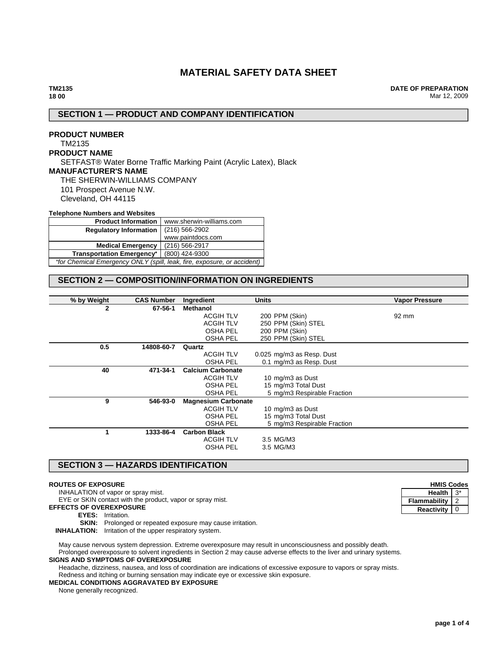# **MATERIAL SAFETY DATA SHEET**

**DATE OF PREPARATION** Mar 12, 2009

## **SECTION 1 — PRODUCT AND COMPANY IDENTIFICATION**

# **PRODUCT NUMBER** TM2135 **PRODUCT NAME** SETFAST® Water Borne Traffic Marking Paint (Acrylic Latex), Black **MANUFACTURER'S NAME** THE SHERWIN-WILLIAMS COMPANY 101 Prospect Avenue N.W. Cleveland, OH 44115

#### **Telephone Numbers and Websites**

| <b>Product Information</b>                                              | www.sherwin-williams.com |  |
|-------------------------------------------------------------------------|--------------------------|--|
| <b>Regulatory Information</b>                                           | $(216) 566 - 2902$       |  |
|                                                                         | www.paintdocs.com        |  |
| <b>Medical Emergency</b>                                                | (216) 566-2917           |  |
| <b>Transportation Emergency*</b>                                        | (800) 424-9300           |  |
| *for Chemical Emergency ONLY (spill, leak, fire, exposure, or accident) |                          |  |

# **SECTION 2 — COMPOSITION/INFORMATION ON INGREDIENTS**

| % by Weight  | <b>CAS Number</b> | Ingredient                 | <b>Units</b>                | <b>Vapor Pressure</b> |
|--------------|-------------------|----------------------------|-----------------------------|-----------------------|
| $\mathbf{2}$ | 67-56-1           | <b>Methanol</b>            |                             |                       |
|              |                   | <b>ACGIH TLV</b>           | 200 PPM (Skin)              | 92 mm                 |
|              |                   | <b>ACGIH TLV</b>           | 250 PPM (Skin) STEL         |                       |
|              |                   | OSHA PEL                   | 200 PPM (Skin)              |                       |
|              |                   | <b>OSHA PEL</b>            | 250 PPM (Skin) STEL         |                       |
| 0.5          | 14808-60-7        | Quartz                     |                             |                       |
|              |                   | <b>ACGIH TLV</b>           | 0.025 mg/m3 as Resp. Dust   |                       |
|              |                   | <b>OSHA PEL</b>            | 0.1 mg/m3 as Resp. Dust     |                       |
| 40           | 471-34-1          | <b>Calcium Carbonate</b>   |                             |                       |
|              |                   | <b>ACGIH TLV</b>           | 10 mg/m3 as Dust            |                       |
|              |                   | OSHA PEL                   | 15 mg/m3 Total Dust         |                       |
|              |                   | <b>OSHA PEL</b>            | 5 mg/m3 Respirable Fraction |                       |
| 9            | 546-93-0          | <b>Magnesium Carbonate</b> |                             |                       |
|              |                   | <b>ACGIH TLV</b>           | 10 mg/m3 as Dust            |                       |
|              |                   | OSHA PEL                   | 15 mg/m3 Total Dust         |                       |
|              |                   | <b>OSHA PEL</b>            | 5 mg/m3 Respirable Fraction |                       |
| 1            | 1333-86-4         | <b>Carbon Black</b>        |                             |                       |
|              |                   | <b>ACGIH TLV</b>           | 3.5 MG/M3                   |                       |
|              |                   | <b>OSHA PEL</b>            | 3.5 MG/M3                   |                       |
|              |                   |                            |                             |                       |

# **SECTION 3 — HAZARDS IDENTIFICATION**

#### **ROUTES OF EXPOSURE**

INHALATION of vapor or spray mist.

EYE or SKIN contact with the product, vapor or spray mist.

- **EFFECTS OF OVEREXPOSURE**
	- **EYES:** Irritation.
	- **SKIN:** Prolonged or repeated exposure may cause irritation.

**INHALATION:** Irritation of the upper respiratory system.

May cause nervous system depression. Extreme overexposure may result in unconsciousness and possibly death. Prolonged overexposure to solvent ingredients in Section 2 may cause adverse effects to the liver and urinary systems.

### **SIGNS AND SYMPTOMS OF OVEREXPOSURE**

Headache, dizziness, nausea, and loss of coordination are indications of excessive exposure to vapors or spray mists. Redness and itching or burning sensation may indicate eye or excessive skin exposure.

# **MEDICAL CONDITIONS AGGRAVATED BY EXPOSURE**

None generally recognized.

| <b>HMIS Codes</b> |    |  |
|-------------------|----|--|
| Health            | 3* |  |
| Flammability      |    |  |
| Reactivity        | 0  |  |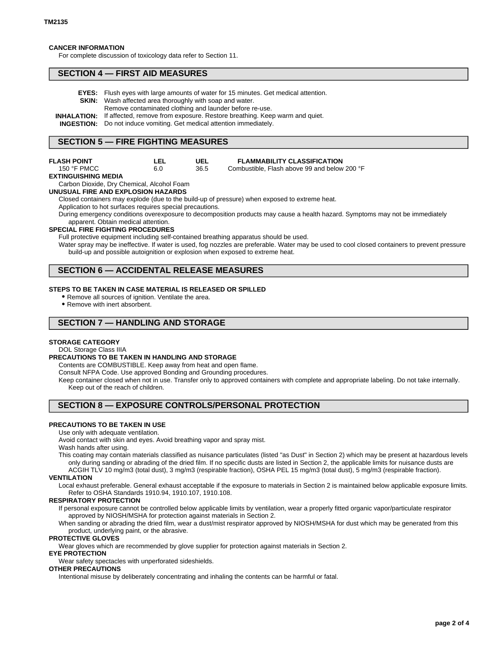### **CANCER INFORMATION**

For complete discussion of toxicology data refer to Section 11.

### **SECTION 4 — FIRST AID MEASURES**

| <b>EYES:</b> Flush eyes with large amounts of water for 15 minutes. Get medical attention.    |
|-----------------------------------------------------------------------------------------------|
| <b>SKIN:</b> Wash affected area thoroughly with soap and water.                               |
| Remove contaminated clothing and launder before re-use.                                       |
| <b>INHALATION:</b> If affected, remove from exposure. Restore breathing. Keep warm and quiet. |
| <b>INGESTION:</b> Do not induce vomiting. Get medical attention immediately.                  |

## **SECTION 5 — FIRE FIGHTING MEASURES**

**LEL**

## **FLASH POINT**

| 150 °F PMCC         | 6.0 |
|---------------------|-----|
| EXTINGUISHING MEDIA |     |

Carbon Dioxide, Dry Chemical, Alcohol Foam

#### **UNUSUAL FIRE AND EXPLOSION HAZARDS**

Closed containers may explode (due to the build-up of pressure) when exposed to extreme heat. Application to hot surfaces requires special precautions.

**UEL** 36.5

During emergency conditions overexposure to decomposition products may cause a health hazard. Symptoms may not be immediately apparent. Obtain medical attention.

#### **SPECIAL FIRE FIGHTING PROCEDURES**

Full protective equipment including self-contained breathing apparatus should be used.

Water spray may be ineffective. If water is used, fog nozzles are preferable. Water may be used to cool closed containers to prevent pressure build-up and possible autoignition or explosion when exposed to extreme heat.

**FLAMMABILITY CLASSIFICATION** Combustible, Flash above 99 and below 200 °F

## **SECTION 6 — ACCIDENTAL RELEASE MEASURES**

#### **STEPS TO BE TAKEN IN CASE MATERIAL IS RELEASED OR SPILLED**

- Remove all sources of ignition. Ventilate the area.
- Remove with inert absorbent.

## **SECTION 7 — HANDLING AND STORAGE**

### **STORAGE CATEGORY**

DOL Storage Class IIIA

### **PRECAUTIONS TO BE TAKEN IN HANDLING AND STORAGE**

Contents are COMBUSTIBLE. Keep away from heat and open flame.

Consult NFPA Code. Use approved Bonding and Grounding procedures.

Keep container closed when not in use. Transfer only to approved containers with complete and appropriate labeling. Do not take internally. Keep out of the reach of children.

## **SECTION 8 — EXPOSURE CONTROLS/PERSONAL PROTECTION**

### **PRECAUTIONS TO BE TAKEN IN USE**

Use only with adequate ventilation.

Avoid contact with skin and eyes. Avoid breathing vapor and spray mist.

### Wash hands after using.

This coating may contain materials classified as nuisance particulates (listed "as Dust" in Section 2) which may be present at hazardous levels only during sanding or abrading of the dried film. If no specific dusts are listed in Section 2, the applicable limits for nuisance dusts are ACGIH TLV 10 mg/m3 (total dust), 3 mg/m3 (respirable fraction), OSHA PEL 15 mg/m3 (total dust), 5 mg/m3 (respirable fraction).

#### **VENTILATION**

Local exhaust preferable. General exhaust acceptable if the exposure to materials in Section 2 is maintained below applicable exposure limits. Refer to OSHA Standards 1910.94, 1910.107, 1910.108.

#### **RESPIRATORY PROTECTION**

If personal exposure cannot be controlled below applicable limits by ventilation, wear a properly fitted organic vapor/particulate respirator approved by NIOSH/MSHA for protection against materials in Section 2.

When sanding or abrading the dried film, wear a dust/mist respirator approved by NIOSH/MSHA for dust which may be generated from this product, underlying paint, or the abrasive.

#### **PROTECTIVE GLOVES**

Wear gloves which are recommended by glove supplier for protection against materials in Section 2.

# **EYE PROTECTION**

Wear safety spectacles with unperforated sideshields.

## **OTHER PRECAUTIONS**

Intentional misuse by deliberately concentrating and inhaling the contents can be harmful or fatal.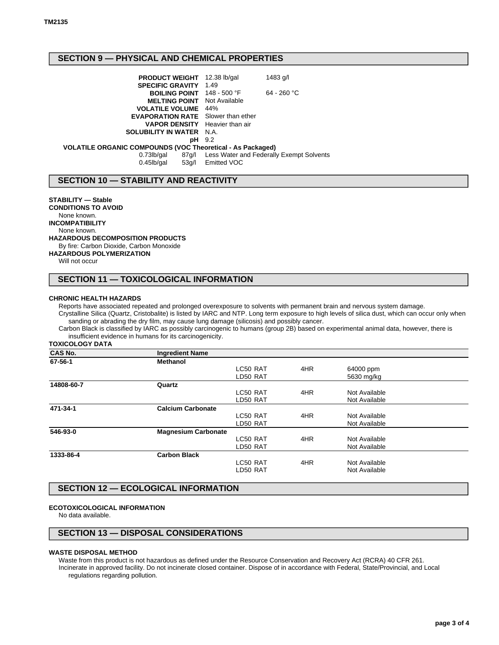# **SECTION 9 — PHYSICAL AND CHEMICAL PROPERTIES**

| <b>PRODUCT WEIGHT</b> 12.38 lb/gal                                |               | 1483 g/l                                       |
|-------------------------------------------------------------------|---------------|------------------------------------------------|
| <b>SPECIFIC GRAVITY 1.49</b>                                      |               |                                                |
| <b>BOILING POINT</b> 148 - 500 °F                                 |               | $64 - 260 °C$                                  |
| <b>MELTING POINT</b> Not Available                                |               |                                                |
| <b>VOLATILE VOLUME</b> 44%                                        |               |                                                |
| <b>EVAPORATION RATE</b> Slower than ether                         |               |                                                |
| <b>VAPOR DENSITY</b> Heavier than air                             |               |                                                |
| <b>SOLUBILITY IN WATER N.A.</b>                                   |               |                                                |
|                                                                   | <b>pH</b> 9.2 |                                                |
| <b>VOLATILE ORGANIC COMPOUNDS (VOC Theoretical - As Packaged)</b> |               |                                                |
| 0.73lb/gal                                                        |               | 87g/l Less Water and Federally Exempt Solvents |
| $0.45$ lb/gal<br>53a/l                                            | Emitted VOC   |                                                |

## **SECTION 10 — STABILITY AND REACTIVITY**

**STABILITY — Stable CONDITIONS TO AVOID** None known. **INCOMPATIBILITY** None known. **HAZARDOUS DECOMPOSITION PRODUCTS** By fire: Carbon Dioxide, Carbon Monoxide **HAZARDOUS POLYMERIZATION** Will not occur

# **SECTION 11 — TOXICOLOGICAL INFORMATION**

### **CHRONIC HEALTH HAZARDS**

Reports have associated repeated and prolonged overexposure to solvents with permanent brain and nervous system damage. Crystalline Silica (Quartz, Cristobalite) is listed by IARC and NTP. Long term exposure to high levels of silica dust, which can occur only when sanding or abrading the dry film, may cause lung damage (silicosis) and possibly cancer.

Carbon Black is classified by IARC as possibly carcinogenic to humans (group 2B) based on experimental animal data, however, there is insufficient evidence in humans for its carcinogenicity.

**TOXICOLOGY DATA**

| <b>CAS No.</b> | <b>Ingredient Name</b>     |          |     |               |  |
|----------------|----------------------------|----------|-----|---------------|--|
| 67-56-1        | <b>Methanol</b>            |          |     |               |  |
|                |                            | LC50 RAT | 4HR | 64000 ppm     |  |
|                |                            | LD50 RAT |     | 5630 mg/kg    |  |
| 14808-60-7     | Quartz                     |          |     |               |  |
|                |                            | LC50 RAT | 4HR | Not Available |  |
|                |                            | LD50 RAT |     | Not Available |  |
| 471-34-1       | <b>Calcium Carbonate</b>   |          |     |               |  |
|                |                            | LC50 RAT | 4HR | Not Available |  |
|                |                            | LD50 RAT |     | Not Available |  |
| 546-93-0       | <b>Magnesium Carbonate</b> |          |     |               |  |
|                |                            | LC50 RAT | 4HR | Not Available |  |
|                |                            | LD50 RAT |     | Not Available |  |
| 1333-86-4      | <b>Carbon Black</b>        |          |     |               |  |
|                |                            | LC50 RAT | 4HR | Not Available |  |
|                |                            | LD50 RAT |     | Not Available |  |
|                |                            |          |     |               |  |

# **SECTION 12 — ECOLOGICAL INFORMATION**

### **ECOTOXICOLOGICAL INFORMATION**

No data available.

## **SECTION 13 — DISPOSAL CONSIDERATIONS**

#### **WASTE DISPOSAL METHOD**

Waste from this product is not hazardous as defined under the Resource Conservation and Recovery Act (RCRA) 40 CFR 261. Incinerate in approved facility. Do not incinerate closed container. Dispose of in accordance with Federal, State/Provincial, and Local regulations regarding pollution.